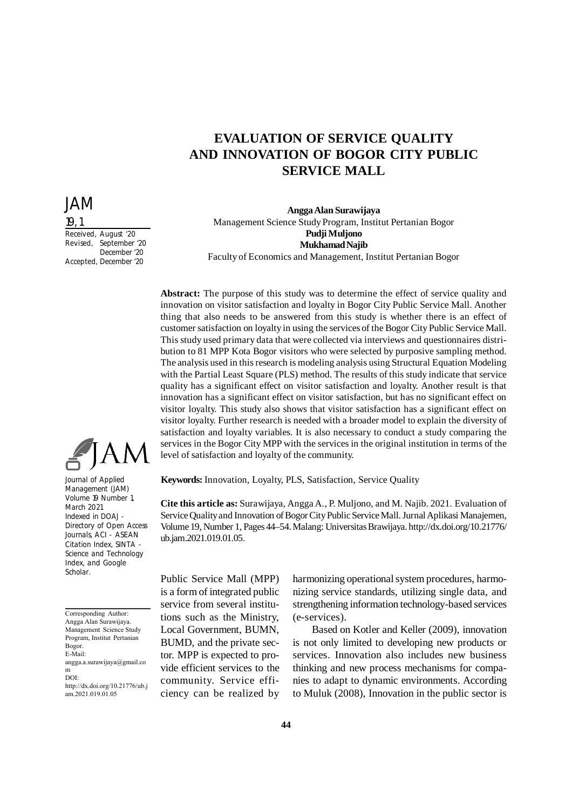# **EVALUATION OF SERVICE QUALITY AND INNOVATION OF BOGOR CITY PUBLIC SERVICE MALL**

## **Angga Alan Surawijaya** Management Science Study Program, Institut Pertanian Bogor **Pudji Muljono Mukhamad Najib** Faculty of Economics and Management, Institut Pertanian Bogor

**Abstract:** The purpose of this study was to determine the effect of service quality and innovation on visitor satisfaction and loyalty in Bogor City Public Service Mall. Another thing that also needs to be answered from this study is whether there is an effect of customer satisfaction on loyalty in using the services of the Bogor City Public Service Mall. This study used primary data that were collected via interviews and questionnaires distribution to 81 MPP Kota Bogor visitors who were selected by purposive sampling method. The analysis used in this research is modeling analysis using Structural Equation Modeling with the Partial Least Square (PLS) method. The results of this study indicate that service quality has a significant effect on visitor satisfaction and loyalty. Another result is that innovation has a significant effect on visitor satisfaction, but has no significant effect on visitor loyalty. This study also shows that visitor satisfaction has a significant effect on visitor loyalty. Further research is needed with a broader model to explain the diversity of satisfaction and loyalty variables. It is also necessary to conduct a study comparing the services in the Bogor City MPP with the services in the original institution in terms of the level of satisfaction and loyalty of the community.

**Keywords:** Innovation, Loyalty, PLS, Satisfaction, Service Quality

**Cite this article as:** Surawijaya, Angga A., P. Muljono, and M. Najib. 2021. Evaluation of Service Quality and Innovation of Bogor City Public Service Mall. Jurnal Aplikasi Manajemen, Volume 19, Number 1, Pages 44–54. Malang: Universitas Brawijaya. http://dx.doi.org/10.21776/ ub.jam.2021.019.01.05.

Public Service Mall (MPP) is a form of integrated public service from several institutions such as the Ministry, Local Government, BUMN, BUMD, and the private sector. MPP is expected to provide efficient services to the community. Service efficiency can be realized by harmonizing operational system procedures, harmonizing service standards, utilizing single data, and strengthening information technology-based services (e-services).

Based on Kotler and Keller (2009), innovation is not only limited to developing new products or services. Innovation also includes new business thinking and new process mechanisms for companies to adapt to dynamic environments. According to Muluk (2008), Innovation in the public sector is



JAM

Received, August '20 Revised, September '20 December '20

Accepted, December '20

19, 1

Journal of Applied Management (JAM) Volume 19 Number 1, March 2021 Indexed in DOAJ - Directory of Open Access Journals, ACI - ASEAN Citation Index, SINTA - Science and Technology Index, and Google Scholar.

Corresponding Author: Angga Alan Surawijaya. Management Science Study Program, Institut Pertanian Bogor. E-Mail: angga.a.surawijaya@gmail.co m DOI: http://dx.doi.org/10.21776/ub.j am.2021.019.01.05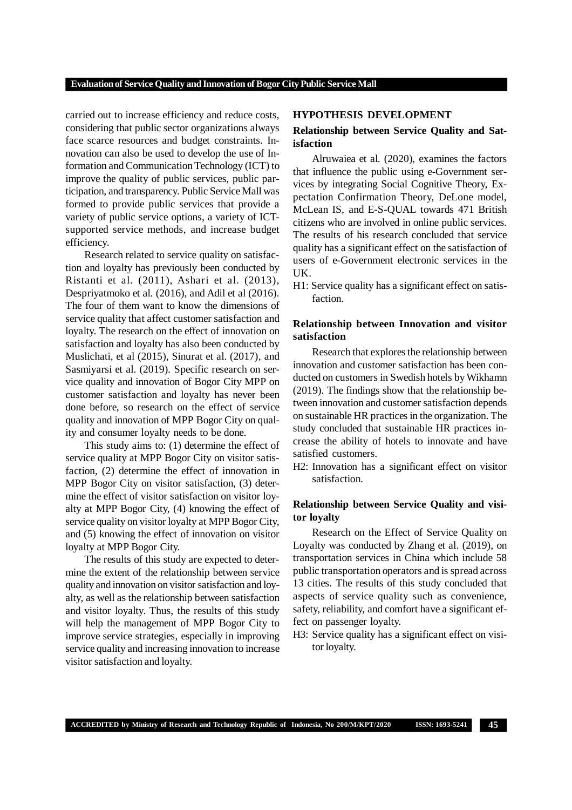carried out to increase efficiency and reduce costs, considering that public sector organizations always face scarce resources and budget constraints. Innovation can also be used to develop the use of Information and Communication Technology (ICT) to improve the quality of public services, public participation, and transparency. Public Service Mall was formed to provide public services that provide a variety of public service options, a variety of ICTsupported service methods, and increase budget efficiency.

Research related to service quality on satisfaction and loyalty has previously been conducted by Ristanti et al. (2011), Ashari et al. (2013), Despriyatmoko et al. (2016), and Adil et al (2016). The four of them want to know the dimensions of service quality that affect customer satisfaction and loyalty. The research on the effect of innovation on satisfaction and loyalty has also been conducted by Muslichati, et al (2015), Sinurat et al. (2017), and Sasmiyarsi et al. (2019). Specific research on service quality and innovation of Bogor City MPP on customer satisfaction and loyalty has never been done before, so research on the effect of service quality and innovation of MPP Bogor City on quality and consumer loyalty needs to be done.

This study aims to: (1) determine the effect of service quality at MPP Bogor City on visitor satisfaction, (2) determine the effect of innovation in MPP Bogor City on visitor satisfaction, (3) determine the effect of visitor satisfaction on visitor loyalty at MPP Bogor City, (4) knowing the effect of service quality on visitor loyalty at MPP Bogor City, and (5) knowing the effect of innovation on visitor loyalty at MPP Bogor City.

The results of this study are expected to determine the extent of the relationship between service quality and innovation on visitor satisfaction and loyalty, as well as the relationship between satisfaction and visitor loyalty. Thus, the results of this study will help the management of MPP Bogor City to improve service strategies, especially in improving service quality and increasing innovation to increase visitor satisfaction and loyalty.

## **HYPOTHESIS DEVELOPMENT**

# **Relationship between Service Quality and Satisfaction**

Alruwaiea et al*.* (2020), examines the factors that influence the public using e-Government services by integrating Social Cognitive Theory, Expectation Confirmation Theory, DeLone model, McLean IS, and E-S-QUAL towards 471 British citizens who are involved in online public services. The results of his research concluded that service quality has a significant effect on the satisfaction of users of e-Government electronic services in the UK.

H1: Service quality has a significant effect on satisfaction.

# **Relationship between Innovation and visitor satisfaction**

Research that explores the relationship between innovation and customer satisfaction has been conducted on customers in Swedish hotels by Wikhamn (2019). The findings show that the relationship between innovation and customer satisfaction depends on sustainable HR practices in the organization. The study concluded that sustainable HR practices increase the ability of hotels to innovate and have satisfied customers.

H2: Innovation has a significant effect on visitor satisfaction.

# **Relationship between Service Quality and visitor loyalty**

Research on the Effect of Service Quality on Loyalty was conducted by Zhang et al. (2019), on transportation services in China which include 58 public transportation operators and is spread across 13 cities. The results of this study concluded that aspects of service quality such as convenience, safety, reliability, and comfort have a significant effect on passenger loyalty.

H3: Service quality has a significant effect on visitor loyalty.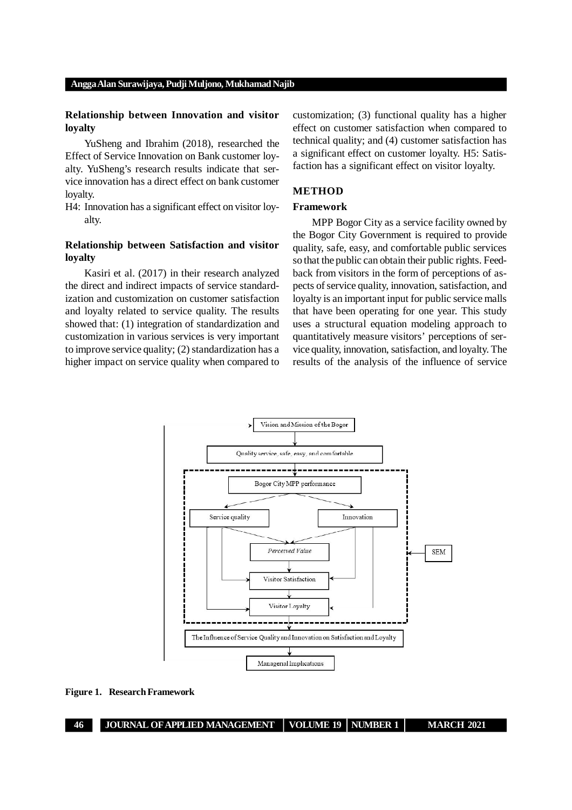# **Relationship between Innovation and visitor loyalty**

YuSheng and Ibrahim (2018), researched the Effect of Service Innovation on Bank customer loyalty. YuSheng's research results indicate that service innovation has a direct effect on bank customer loyalty.

H4: Innovation has a significant effect on visitor loyalty.

# **Relationship between Satisfaction and visitor loyalty**

Kasiri et al. (2017) in their research analyzed the direct and indirect impacts of service standardization and customization on customer satisfaction and loyalty related to service quality. The results showed that: (1) integration of standardization and customization in various services is very important to improve service quality; (2) standardization has a higher impact on service quality when compared to customization; (3) functional quality has a higher effect on customer satisfaction when compared to technical quality; and (4) customer satisfaction has a significant effect on customer loyalty. H5: Satisfaction has a significant effect on visitor loyalty.

# **METHOD**

## **Framework**

MPP Bogor City as a service facility owned by the Bogor City Government is required to provide quality, safe, easy, and comfortable public services so that the public can obtain their public rights. Feedback from visitors in the form of perceptions of aspects of service quality, innovation, satisfaction, and loyalty is an important input for public service malls that have been operating for one year. This study uses a structural equation modeling approach to quantitatively measure visitors' perceptions of service quality, innovation, satisfaction, and loyalty. The results of the analysis of the influence of service



**Figure 1. Research Framework**

**46 JOURNAL OF APPLIED MANAGEMENT VOLUME 19 NUMBER 1 MARCH 2021**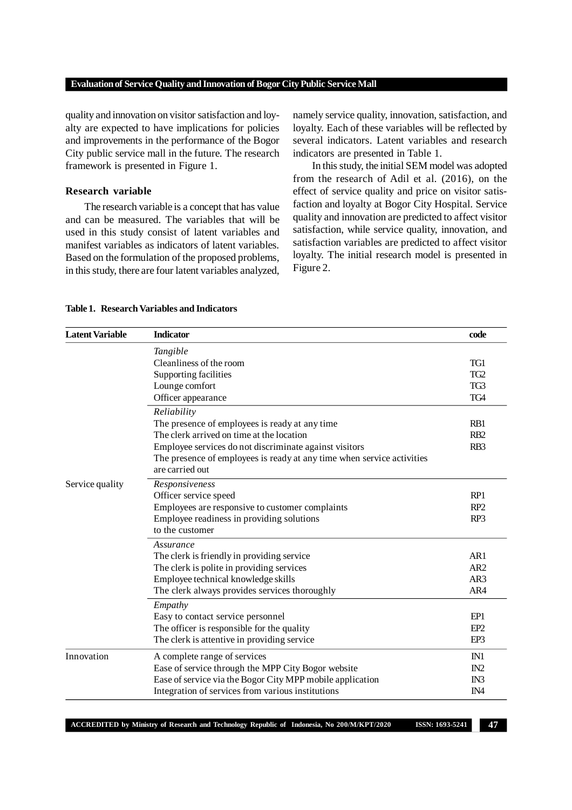quality and innovation on visitor satisfaction and loyalty are expected to have implications for policies and improvements in the performance of the Bogor City public service mall in the future. The research framework is presented in Figure 1.

## **Research variable**

The research variable is a concept that has value and can be measured. The variables that will be used in this study consist of latent variables and manifest variables as indicators of latent variables. Based on the formulation of the proposed problems, in this study, there are four latent variables analyzed, namely service quality, innovation, satisfaction, and loyalty. Each of these variables will be reflected by several indicators. Latent variables and research indicators are presented in Table 1.

In this study, the initial SEM model was adopted from the research of Adil et al. (2016), on the effect of service quality and price on visitor satisfaction and loyalty at Bogor City Hospital. Service quality and innovation are predicted to affect visitor satisfaction, while service quality, innovation, and satisfaction variables are predicted to affect visitor loyalty. The initial research model is presented in Figure 2.

| <b>Latent Variable</b> | <b>Indicator</b>                                                       | code            |
|------------------------|------------------------------------------------------------------------|-----------------|
|                        | Tangible                                                               |                 |
|                        | Cleanliness of the room                                                | TG1             |
|                        | Supporting facilities                                                  | TG <sub>2</sub> |
| Lounge comfort         |                                                                        | TG3             |
|                        | Officer appearance                                                     |                 |
|                        | Reliability                                                            |                 |
|                        | The presence of employees is ready at any time                         | RB1             |
|                        | The clerk arrived on time at the location                              | R <sub>B2</sub> |
|                        | Employee services do not discriminate against visitors                 | RB <sub>3</sub> |
|                        | The presence of employees is ready at any time when service activities |                 |
|                        | are carried out                                                        |                 |
| Service quality        | Responsiveness                                                         |                 |
|                        | Officer service speed                                                  | RP1             |
|                        | Employees are responsive to customer complaints                        | RP <sub>2</sub> |
|                        | Employee readiness in providing solutions                              | RP <sub>3</sub> |
|                        | to the customer                                                        |                 |
|                        | Assurance                                                              |                 |
|                        | The clerk is friendly in providing service                             | AR1             |
|                        | The clerk is polite in providing services                              | AR2             |
|                        | Employee technical knowledge skills                                    | AR3             |
|                        | The clerk always provides services thoroughly                          | AR4             |
|                        | Empathy                                                                |                 |
|                        | Easy to contact service personnel                                      | EP1             |
|                        | The officer is responsible for the quality                             | EP <sub>2</sub> |
|                        | The clerk is attentive in providing service                            | EP3             |
| Innovation             | A complete range of services                                           | IN1             |
|                        | Ease of service through the MPP City Bogor website                     | IN2             |
|                        | Ease of service via the Bogor City MPP mobile application              | IN3             |
|                        | Integration of services from various institutions                      | IN <sub>4</sub> |

**ACCREDITED by Ministry of Research and Technology Republic of Indonesia, No 200/M/KPT/2020 ISSN: 1693-5241 47**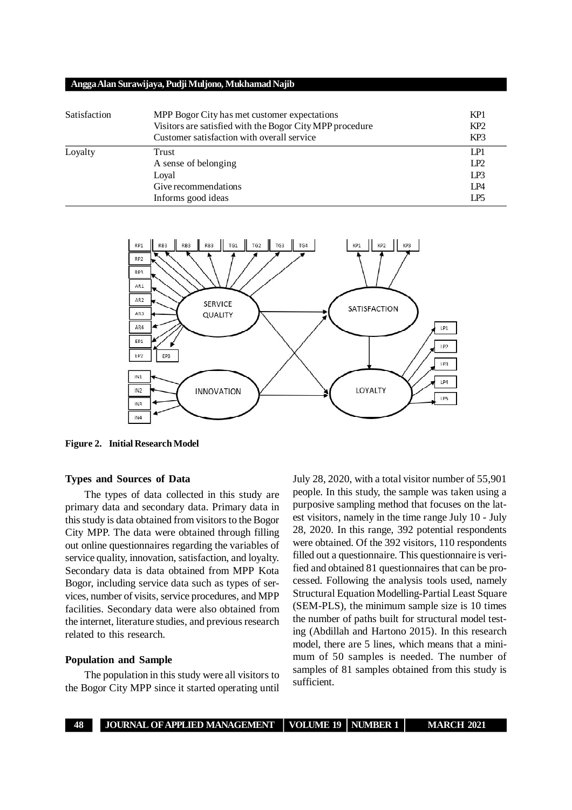| Satisfaction | MPP Bogor City has met customer expectations<br>Visitors are satisfied with the Bogor City MPP procedure<br>Customer satisfaction with overall service | KP <sub>1</sub><br>KP <sub>2</sub><br>KP <sub>3</sub> |
|--------------|--------------------------------------------------------------------------------------------------------------------------------------------------------|-------------------------------------------------------|
| Loyalty      | <b>Trust</b><br>A sense of belonging<br>Loyal<br>Give recommendations<br>Informs good ideas                                                            | LP1<br>IP2<br>LP3<br>LP4<br>LP <sub>5</sub>           |



**Figure 2. Initial Research Model**

# **Types and Sources of Data**

The types of data collected in this study are primary data and secondary data. Primary data in this study is data obtained from visitors to the Bogor City MPP. The data were obtained through filling out online questionnaires regarding the variables of service quality, innovation, satisfaction, and loyalty. Secondary data is data obtained from MPP Kota Bogor, including service data such as types of services, number of visits, service procedures, and MPP facilities. Secondary data were also obtained from the internet, literature studies, and previous research related to this research.

## **Population and Sample**

The population in this study were all visitors to the Bogor City MPP since it started operating until July 28, 2020, with a total visitor number of 55,901 people. In this study, the sample was taken using a purposive sampling method that focuses on the latest visitors, namely in the time range July 10 - July 28, 2020. In this range, 392 potential respondents were obtained. Of the 392 visitors, 110 respondents filled out a questionnaire. This questionnaire is verified and obtained 81 questionnaires that can be processed. Following the analysis tools used, namely Structural Equation Modelling-Partial Least Square (SEM-PLS), the minimum sample size is 10 times the number of paths built for structural model testing (Abdillah and Hartono 2015). In this research model, there are 5 lines, which means that a minimum of 50 samples is needed. The number of samples of 81 samples obtained from this study is sufficient.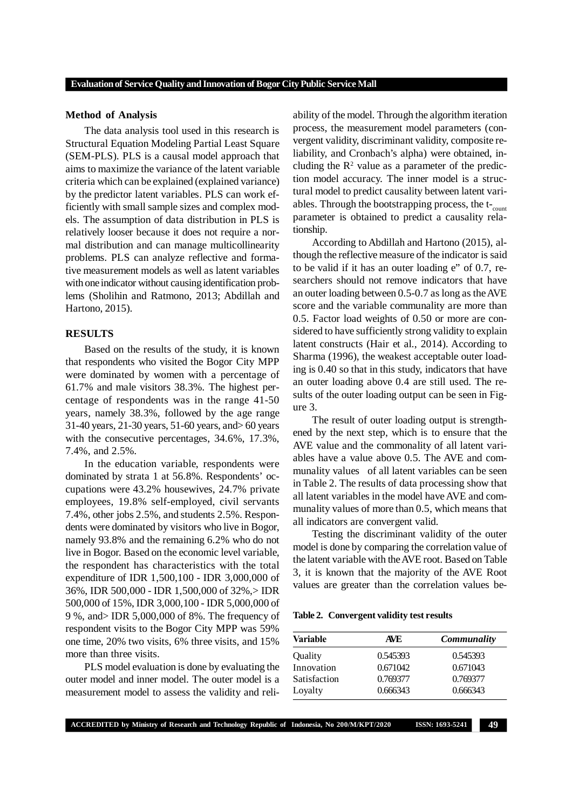#### **Method of Analysis**

The data analysis tool used in this research is Structural Equation Modeling Partial Least Square (SEM-PLS). PLS is a causal model approach that aims to maximize the variance of the latent variable criteria which can be explained (explained variance) by the predictor latent variables. PLS can work efficiently with small sample sizes and complex models. The assumption of data distribution in PLS is relatively looser because it does not require a normal distribution and can manage multicollinearity problems. PLS can analyze reflective and formative measurement models as well as latent variables with one indicator without causing identification problems (Sholihin and Ratmono, 2013; Abdillah and Hartono, 2015).

## **RESULTS**

Based on the results of the study, it is known that respondents who visited the Bogor City MPP were dominated by women with a percentage of 61.7% and male visitors 38.3%. The highest percentage of respondents was in the range 41-50 years, namely 38.3%, followed by the age range 31-40 years, 21-30 years, 51-60 years, and> 60 years with the consecutive percentages, 34.6%, 17.3%, 7.4%, and 2.5%.

In the education variable, respondents were dominated by strata 1 at 56.8%. Respondents' occupations were 43.2% housewives, 24.7% private employees, 19.8% self-employed, civil servants 7.4%, other jobs 2.5%, and students 2.5%. Respondents were dominated by visitors who live in Bogor, namely 93.8% and the remaining 6.2% who do not live in Bogor. Based on the economic level variable, the respondent has characteristics with the total expenditure of IDR 1,500,100 - IDR 3,000,000 of 36%, IDR 500,000 - IDR 1,500,000 of 32%,> IDR 500,000 of 15%, IDR 3,000,100 - IDR 5,000,000 of 9 %, and> IDR 5,000,000 of 8%. The frequency of respondent visits to the Bogor City MPP was 59% one time, 20% two visits, 6% three visits, and 15% more than three visits.

PLS model evaluation is done by evaluating the outer model and inner model. The outer model is a measurement model to assess the validity and reli-

ability of the model. Through the algorithm iteration process, the measurement model parameters (convergent validity, discriminant validity, composite reliability, and Cronbach's alpha) were obtained, including the  $\mathbb{R}^2$  value as a parameter of the prediction model accuracy. The inner model is a structural model to predict causality between latent variables. Through the bootstrapping process, the  $t_{\text{count}}$ parameter is obtained to predict a causality relationship.

According to Abdillah and Hartono (2015), although the reflective measure of the indicator is said to be valid if it has an outer loading e" of 0.7, researchers should not remove indicators that have an outer loading between 0.5-0.7 as long as the AVE score and the variable communality are more than 0.5. Factor load weights of 0.50 or more are considered to have sufficiently strong validity to explain latent constructs (Hair et al., 2014). According to Sharma (1996), the weakest acceptable outer loading is 0.40 so that in this study, indicators that have an outer loading above 0.4 are still used. The results of the outer loading output can be seen in Figure 3.

The result of outer loading output is strengthened by the next step, which is to ensure that the AVE value and the commonality of all latent variables have a value above 0.5. The AVE and communality values of all latent variables can be seen in Table 2. The results of data processing show that all latent variables in the model have AVE and communality values of more than 0.5, which means that all indicators are convergent valid.

Testing the discriminant validity of the outer model is done by comparing the correlation value of the latent variable with the AVE root. Based on Table 3, it is known that the majority of the AVE Root values are greater than the correlation values be-

**Table 2. Convergent validity test results**

| Variable     | <b>AVE</b> | Communality |
|--------------|------------|-------------|
| Quality      | 0.545393   | 0.545393    |
| Innovation   | 0.671042   | 0.671043    |
| Satisfaction | 0.769377   | 0.769377    |
| Loyalty      | 0.666343   | 0.666343    |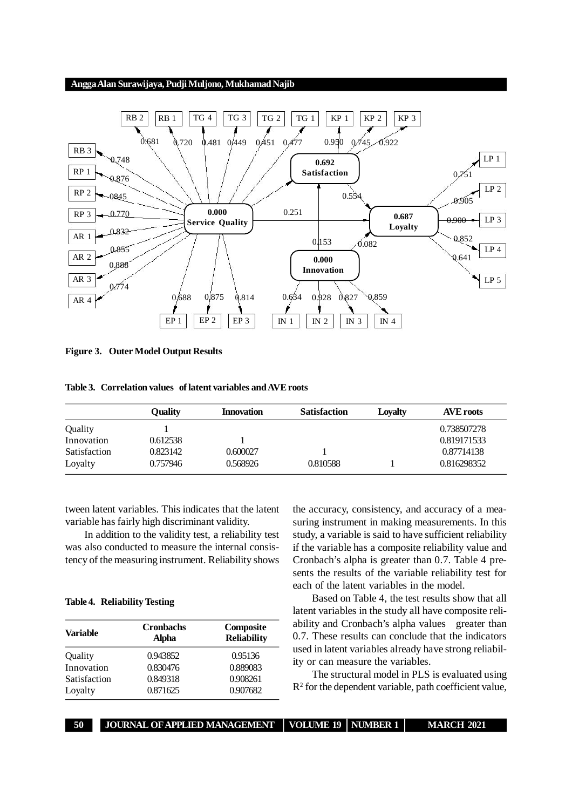

**Figure 3. Outer Model Output Results**

| Table 3. Correlation values of latent variables and AVE roots |  |
|---------------------------------------------------------------|--|
|---------------------------------------------------------------|--|

|              | Ouality  | <b>Innovation</b> | <b>Satisfaction</b> | Lovalty | <b>AVE roots</b> |
|--------------|----------|-------------------|---------------------|---------|------------------|
| Quality      |          |                   |                     |         | 0.738507278      |
| Innovation   | 0.612538 |                   |                     |         | 0.819171533      |
| Satisfaction | 0.823142 | 0.600027          |                     |         | 0.87714138       |
| Loyalty      | 0.757946 | 0.568926          | 0.810588            |         | 0.816298352      |

tween latent variables. This indicates that the latent variable has fairly high discriminant validity.

In addition to the validity test, a reliability test was also conducted to measure the internal consistency of the measuring instrument. Reliability shows

#### **Table 4. Reliability Testing**

| Variable     | <b>Cronbachs</b><br>Alpha | Composite<br><b>Reliability</b> |  |
|--------------|---------------------------|---------------------------------|--|
| Quality      | 0.943852                  | 0.95136                         |  |
| Innovation   | 0.830476                  | 0.889083                        |  |
| Satisfaction | 0.849318                  | 0.908261                        |  |
| Loyalty      | 0.871625                  | 0.907682                        |  |

the accuracy, consistency, and accuracy of a measuring instrument in making measurements. In this study, a variable is said to have sufficient reliability if the variable has a composite reliability value and Cronbach's alpha is greater than 0.7. Table 4 presents the results of the variable reliability test for each of the latent variables in the model.

Based on Table 4, the test results show that all latent variables in the study all have composite reliability and Cronbach's alpha values greater than 0.7. These results can conclude that the indicators used in latent variables already have strong reliability or can measure the variables.

The structural model in PLS is evaluated using  $R<sup>2</sup>$  for the dependent variable, path coefficient value,

**50 JOURNAL OF APPLIED MANAGEMENT VOLUME 19 NUMBER 1 MARCH 2021**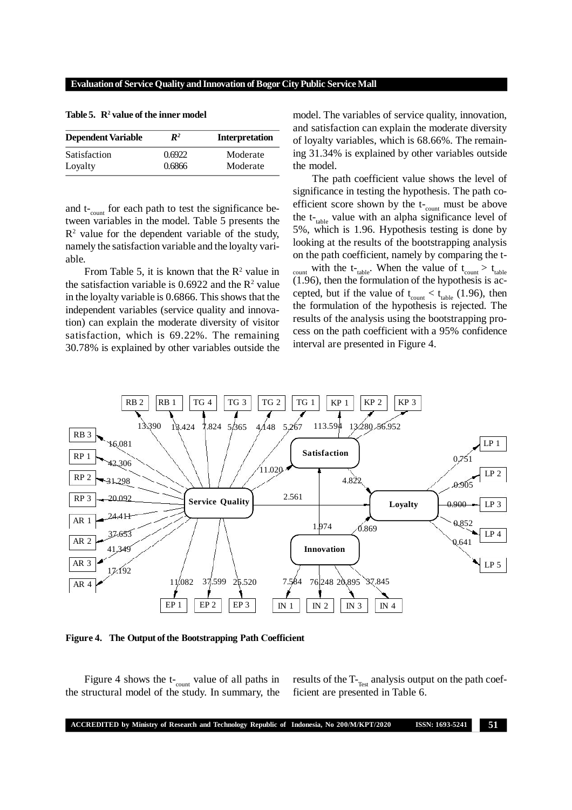| <b>Dependent Variable</b> | $\mathbb{R}^2$ | <b>Interpretation</b> |
|---------------------------|----------------|-----------------------|
| Satisfaction              | 0.6922         | Moderate              |
| Loyalty                   | 0.6866         | Moderate              |

Table 5.  $\mathbb{R}^2$  value of the inner model

and  $t_{\text{-count}}$  for each path to test the significance between variables in the model. Table 5 presents the  $\mathbb{R}^2$  value for the dependent variable of the study, namely the satisfaction variable and the loyalty variable.

From Table 5, it is known that the  $\mathbb{R}^2$  value in the satisfaction variable is  $0.6922$  and the  $\mathbb{R}^2$  value in the loyalty variable is 0.6866. This shows that the independent variables (service quality and innovation) can explain the moderate diversity of visitor satisfaction, which is 69.22%. The remaining 30.78% is explained by other variables outside the model. The variables of service quality, innovation, and satisfaction can explain the moderate diversity of loyalty variables, which is 68.66%. The remaining 31.34% is explained by other variables outside the model.

The path coefficient value shows the level of significance in testing the hypothesis. The path coefficient score shown by the  $t_{\text{-count}}$  must be above the  $t_{table}$  value with an alpha significance level of 5%, which is 1.96. Hypothesis testing is done by looking at the results of the bootstrapping analysis on the path coefficient, namely by comparing the t-<sub>count</sub> with the t-t<sub>table</sub>. When the value of  $t_{count} > t_{table}$ (1.96), then the formulation of the hypothesis is accepted, but if the value of  $t_{\text{count}} < t_{\text{table}}$  (1.96), then the formulation of the hypothesis is rejected. The results of the analysis using the bootstrapping process on the path coefficient with a 95% confidence interval are presented in Figure 4.



**Figure 4. The Output of the Bootstrapping Path Coefficient**

Figure 4 shows the  $t_{\text{-count}}$  value of all paths in the structural model of the study. In summary, the results of the  $T<sub>Test</sub>$  analysis output on the path coefficient are presented in Table 6.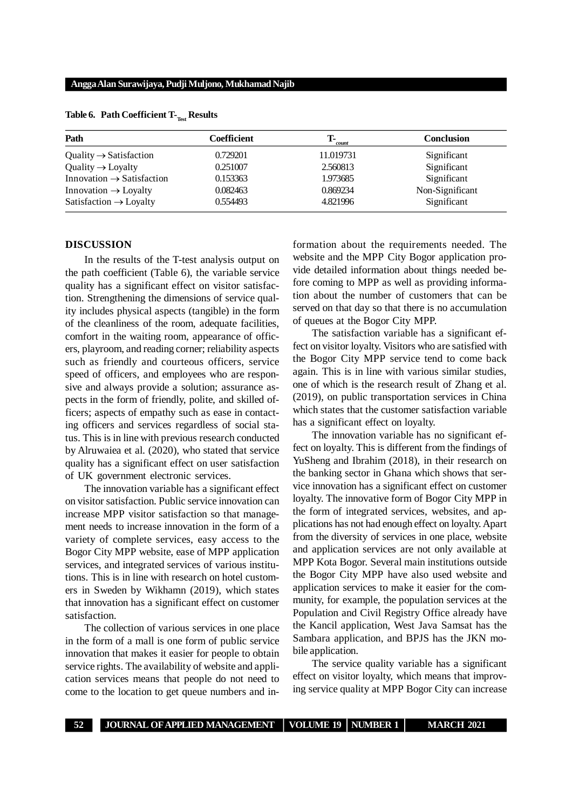| Path                                  | Coefficient | т.<br>count | <b>Conclusion</b> |
|---------------------------------------|-------------|-------------|-------------------|
| Quality $\rightarrow$ Satisfaction    | 0.729201    | 11.019731   | Significant       |
| $Quality \rightarrow Loyalty$         | 0.251007    | 2.560813    | Significant       |
| Innovation $\rightarrow$ Satisfaction | 0.153363    | 1.973685    | Significant       |
| Innovation $\rightarrow$ Loyalty      | 0.082463    | 0.869234    | Non-Significant   |
| Satisfaction $\rightarrow$ Loyalty    | 0.554493    | 4.821996    | Significant       |

## **Table 6. Path Coefficient T-Test Results**

#### **DISCUSSION**

In the results of the T-test analysis output on the path coefficient (Table 6), the variable service quality has a significant effect on visitor satisfaction. Strengthening the dimensions of service quality includes physical aspects (tangible) in the form of the cleanliness of the room, adequate facilities, comfort in the waiting room, appearance of officers, playroom, and reading corner; reliability aspects such as friendly and courteous officers, service speed of officers, and employees who are responsive and always provide a solution; assurance aspects in the form of friendly, polite, and skilled officers; aspects of empathy such as ease in contacting officers and services regardless of social status. This is in line with previous research conducted by Alruwaiea et al. (2020), who stated that service quality has a significant effect on user satisfaction of UK government electronic services.

The innovation variable has a significant effect on visitor satisfaction. Public service innovation can increase MPP visitor satisfaction so that management needs to increase innovation in the form of a variety of complete services, easy access to the Bogor City MPP website, ease of MPP application services, and integrated services of various institutions. This is in line with research on hotel customers in Sweden by Wikhamn (2019), which states that innovation has a significant effect on customer satisfaction.

The collection of various services in one place in the form of a mall is one form of public service innovation that makes it easier for people to obtain service rights. The availability of website and application services means that people do not need to come to the location to get queue numbers and information about the requirements needed. The website and the MPP City Bogor application provide detailed information about things needed before coming to MPP as well as providing information about the number of customers that can be served on that day so that there is no accumulation of queues at the Bogor City MPP.

The satisfaction variable has a significant effect on visitor loyalty. Visitors who are satisfied with the Bogor City MPP service tend to come back again. This is in line with various similar studies, one of which is the research result of Zhang et al. (2019), on public transportation services in China which states that the customer satisfaction variable has a significant effect on loyalty.

The innovation variable has no significant effect on loyalty. This is different from the findings of YuSheng and Ibrahim (2018), in their research on the banking sector in Ghana which shows that service innovation has a significant effect on customer loyalty. The innovative form of Bogor City MPP in the form of integrated services, websites, and applications has not had enough effect on loyalty. Apart from the diversity of services in one place, website and application services are not only available at MPP Kota Bogor. Several main institutions outside the Bogor City MPP have also used website and application services to make it easier for the community, for example, the population services at the Population and Civil Registry Office already have the Kancil application, West Java Samsat has the Sambara application, and BPJS has the JKN mobile application.

The service quality variable has a significant effect on visitor loyalty, which means that improving service quality at MPP Bogor City can increase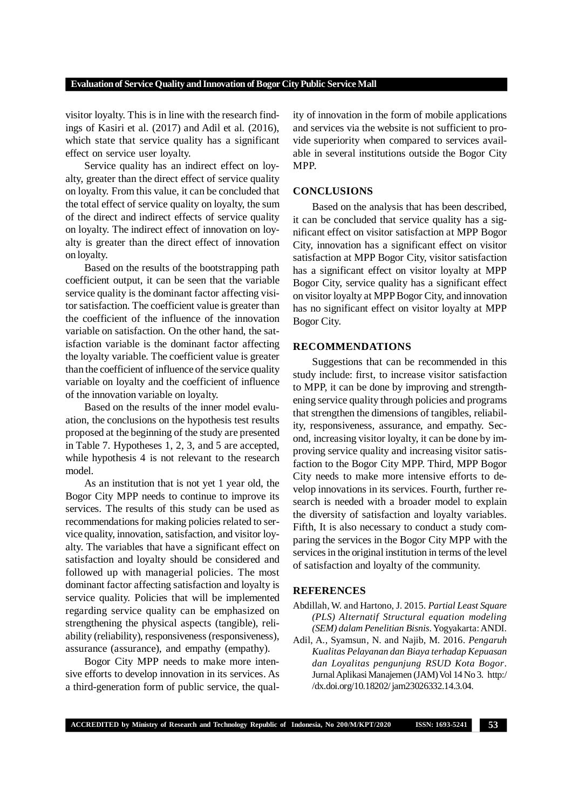visitor loyalty. This is in line with the research findings of Kasiri et al. (2017) and Adil et al. (2016), which state that service quality has a significant effect on service user loyalty.

Service quality has an indirect effect on loyalty, greater than the direct effect of service quality on loyalty. From this value, it can be concluded that the total effect of service quality on loyalty, the sum of the direct and indirect effects of service quality on loyalty. The indirect effect of innovation on loyalty is greater than the direct effect of innovation on loyalty.

Based on the results of the bootstrapping path coefficient output, it can be seen that the variable service quality is the dominant factor affecting visitor satisfaction. The coefficient value is greater than the coefficient of the influence of the innovation variable on satisfaction. On the other hand, the satisfaction variable is the dominant factor affecting the loyalty variable. The coefficient value is greater than the coefficient of influence of the service quality variable on loyalty and the coefficient of influence of the innovation variable on loyalty.

Based on the results of the inner model evaluation, the conclusions on the hypothesis test results proposed at the beginning of the study are presented in Table 7. Hypotheses 1, 2, 3, and 5 are accepted, while hypothesis 4 is not relevant to the research model.

As an institution that is not yet 1 year old, the Bogor City MPP needs to continue to improve its services. The results of this study can be used as recommendations for making policies related to service quality, innovation, satisfaction, and visitor loyalty. The variables that have a significant effect on satisfaction and loyalty should be considered and followed up with managerial policies. The most dominant factor affecting satisfaction and loyalty is service quality. Policies that will be implemented regarding service quality can be emphasized on strengthening the physical aspects (tangible), reliability (reliability), responsiveness (responsiveness), assurance (assurance), and empathy (empathy).

Bogor City MPP needs to make more intensive efforts to develop innovation in its services. As a third-generation form of public service, the qual-

ity of innovation in the form of mobile applications and services via the website is not sufficient to provide superiority when compared to services available in several institutions outside the Bogor City MPP.

## **CONCLUSIONS**

Based on the analysis that has been described, it can be concluded that service quality has a significant effect on visitor satisfaction at MPP Bogor City, innovation has a significant effect on visitor satisfaction at MPP Bogor City, visitor satisfaction has a significant effect on visitor loyalty at MPP Bogor City, service quality has a significant effect on visitor loyalty at MPP Bogor City, and innovation has no significant effect on visitor loyalty at MPP Bogor City.

## **RECOMMENDATIONS**

Suggestions that can be recommended in this study include: first, to increase visitor satisfaction to MPP, it can be done by improving and strengthening service quality through policies and programs that strengthen the dimensions of tangibles, reliability, responsiveness, assurance, and empathy. Second, increasing visitor loyalty, it can be done by improving service quality and increasing visitor satisfaction to the Bogor City MPP. Third, MPP Bogor City needs to make more intensive efforts to develop innovations in its services. Fourth, further research is needed with a broader model to explain the diversity of satisfaction and loyalty variables. Fifth, It is also necessary to conduct a study comparing the services in the Bogor City MPP with the services in the original institution in terms of the level of satisfaction and loyalty of the community.

## **REFERENCES**

Abdillah, W. and Hartono, J. 2015. *Partial Least Square (PLS) Alternatif Structural equation modeling (SEM) dalam Penelitian Bisnis*. Yogyakarta: ANDI.

Adil, A., Syamsun, N. and Najib, M. 2016. *Pengaruh Kualitas Pelayanan dan Biaya terhadap Kepuasan dan Loyalitas pengunjung RSUD Kota Bogor*. Jurnal Aplikasi Manajemen (JAM) Vol 14 No 3. http:/ /dx.doi.org/10.18202/ jam23026332.14.3.04.